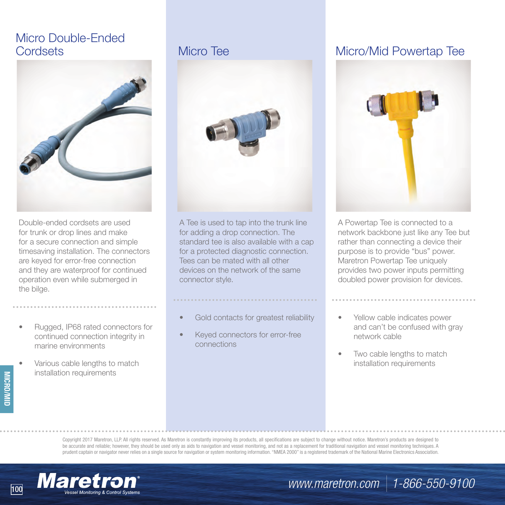## Micro Double-Ended



Double-ended cordsets are used for trunk or drop lines and make for a secure connection and simple timesaving installation. The connectors are keyed for error-free connection and they are waterproof for continued operation even while submerged in the bilge.

- Rugged, IP68 rated connectors for continued connection integrity in marine environments
- Various cable lengths to match installation requirements

**MICRO/MID**



A Tee is used to tap into the trunk line for adding a drop connection. The standard tee is also available with a cap for a protected diagnostic connection. Tees can be mated with all other devices on the network of the same connector style.

#### Gold contacts for greatest reliability

Keyed connectors for error-free connections

## Cordsets **Micro Tee Micro Tee Micro/Mid Powertap Tee**



A Powertap Tee is connected to a network backbone just like any Tee but rather than connecting a device their purpose is to provide "bus" power. Maretron Powertap Tee uniquely provides two power inputs permitting doubled power provision for devices.

- Yellow cable indicates power and can't be confused with gray network cable
- Two cable lengths to match installation requirements

Copyright 2017 Maretron, LLP. All rights reserved. As Maretron is constantly improving its products, all specifications are subject to change without notice. Maretron's products are designed to be accurate and reliable; however, they should be used only as aids to navigation and vessel monitoring, and not as a replacement for traditional navigation and vessel monitoring techniques. A prudent captain or navigator never relies on a single source for navigation or system monitoring information. "NMEA 2000" is a registered trademark of the National Marine Electronics Association